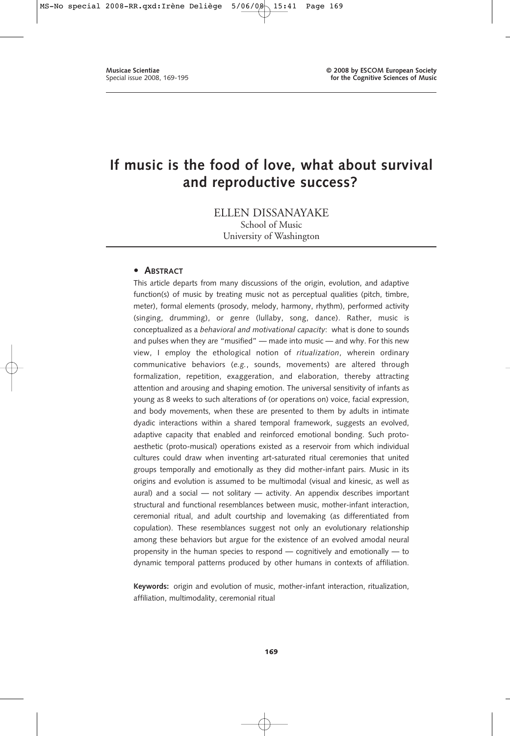**Musicae Scientiae** Special issue 2008, 169-195

# **If music is the food of love, what about survival and reproductive success?**

ELLEN DISSANAYAKE School of Music University of Washington

## **• ABSTRACT**

This article departs from many discussions of the origin, evolution, and adaptive function(s) of music by treating music not as perceptual qualities (pitch, timbre, meter), formal elements (prosody, melody, harmony, rhythm), performed activity (singing, drumming), or genre (lullaby, song, dance). Rather, music is conceptualized as a *behavioral and motivational capacity*: what is done to sounds and pulses when they are "musified" — made into music — and why. For this new view, I employ the ethological notion of *ritualization*, wherein ordinary communicative behaviors (*e.g.*, sounds, movements) are altered through formalization, repetition, exaggeration, and elaboration, thereby attracting attention and arousing and shaping emotion. The universal sensitivity of infants as young as 8 weeks to such alterations of (or operations on) voice, facial expression, and body movements, when these are presented to them by adults in intimate dyadic interactions within a shared temporal framework, suggests an evolved, adaptive capacity that enabled and reinforced emotional bonding. Such protoaesthetic (proto-musical) operations existed as a reservoir from which individual cultures could draw when inventing art-saturated ritual ceremonies that united groups temporally and emotionally as they did mother-infant pairs. Music in its origins and evolution is assumed to be multimodal (visual and kinesic, as well as aural) and a social — not solitary — activity. An appendix describes important structural and functional resemblances between music, mother-infant interaction, ceremonial ritual, and adult courtship and lovemaking (as differentiated from copulation). These resemblances suggest not only an evolutionary relationship among these behaviors but argue for the existence of an evolved amodal neural propensity in the human species to respond — cognitively and emotionally — to dynamic temporal patterns produced by other humans in contexts of affiliation.

**Keywords:** origin and evolution of music, mother-infant interaction, ritualization, affiliation, multimodality, ceremonial ritual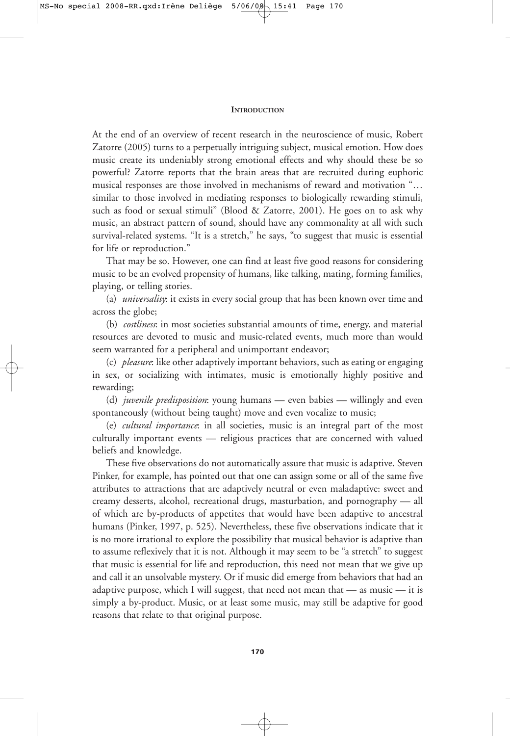#### **INTRODUCTION**

At the end of an overview of recent research in the neuroscience of music, Robert Zatorre (2005) turns to a perpetually intriguing subject, musical emotion. How does music create its undeniably strong emotional effects and why should these be so powerful? Zatorre reports that the brain areas that are recruited during euphoric musical responses are those involved in mechanisms of reward and motivation "… similar to those involved in mediating responses to biologically rewarding stimuli, such as food or sexual stimuli" (Blood & Zatorre, 2001). He goes on to ask why music, an abstract pattern of sound, should have any commonality at all with such survival-related systems. "It is a stretch," he says, "to suggest that music is essential for life or reproduction."

That may be so. However, one can find at least five good reasons for considering music to be an evolved propensity of humans, like talking, mating, forming families, playing, or telling stories.

(a) *universality*: it exists in every social group that has been known over time and across the globe;

(b) *costliness*: in most societies substantial amounts of time, energy, and material resources are devoted to music and music-related events, much more than would seem warranted for a peripheral and unimportant endeavor;

(c) *pleasure*: like other adaptively important behaviors, such as eating or engaging in sex, or socializing with intimates, music is emotionally highly positive and rewarding;

(d) *juvenile predisposition*: young humans — even babies — willingly and even spontaneously (without being taught) move and even vocalize to music;

(e) *cultural importance*: in all societies, music is an integral part of the most culturally important events — religious practices that are concerned with valued beliefs and knowledge.

These five observations do not automatically assure that music is adaptive. Steven Pinker, for example, has pointed out that one can assign some or all of the same five attributes to attractions that are adaptively neutral or even maladaptive: sweet and creamy desserts, alcohol, recreational drugs, masturbation, and pornography — all of which are by-products of appetites that would have been adaptive to ancestral humans (Pinker, 1997, p. 525). Nevertheless, these five observations indicate that it is no more irrational to explore the possibility that musical behavior is adaptive than to assume reflexively that it is not. Although it may seem to be "a stretch" to suggest that music is essential for life and reproduction, this need not mean that we give up and call it an unsolvable mystery. Or if music did emerge from behaviors that had an adaptive purpose, which I will suggest, that need not mean that — as music — it is simply a by-product. Music, or at least some music, may still be adaptive for good reasons that relate to that original purpose.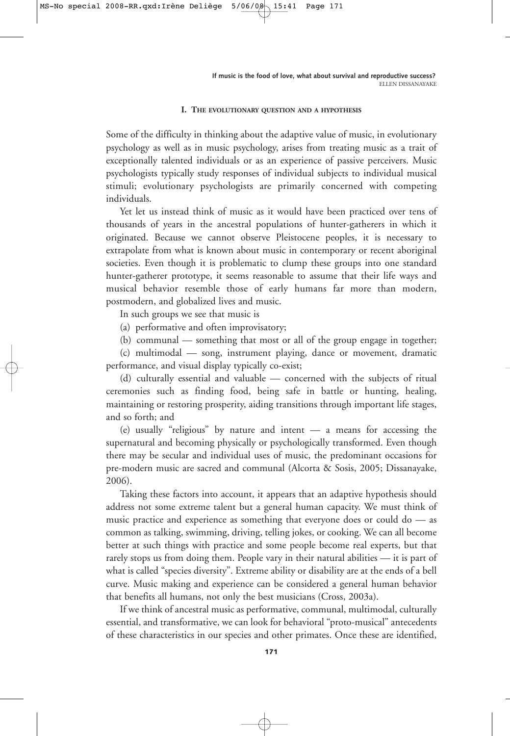#### **I. THE EVOLUTIONARY QUESTION AND A HYPOTHESIS**

Some of the difficulty in thinking about the adaptive value of music, in evolutionary psychology as well as in music psychology, arises from treating music as a trait of exceptionally talented individuals or as an experience of passive perceivers. Music psychologists typically study responses of individual subjects to individual musical stimuli; evolutionary psychologists are primarily concerned with competing individuals.

Yet let us instead think of music as it would have been practiced over tens of thousands of years in the ancestral populations of hunter-gatherers in which it originated. Because we cannot observe Pleistocene peoples, it is necessary to extrapolate from what is known about music in contemporary or recent aboriginal societies. Even though it is problematic to clump these groups into one standard hunter-gatherer prototype, it seems reasonable to assume that their life ways and musical behavior resemble those of early humans far more than modern, postmodern, and globalized lives and music.

In such groups we see that music is

(a) performative and often improvisatory;

(b) communal — something that most or all of the group engage in together;

(c) multimodal — song, instrument playing, dance or movement, dramatic performance, and visual display typically co-exist;

(d) culturally essential and valuable — concerned with the subjects of ritual ceremonies such as finding food, being safe in battle or hunting, healing, maintaining or restoring prosperity, aiding transitions through important life stages, and so forth; and

(e) usually "religious" by nature and intent — a means for accessing the supernatural and becoming physically or psychologically transformed. Even though there may be secular and individual uses of music, the predominant occasions for pre-modern music are sacred and communal (Alcorta & Sosis, 2005; Dissanayake, 2006).

Taking these factors into account, it appears that an adaptive hypothesis should address not some extreme talent but a general human capacity. We must think of music practice and experience as something that everyone does or could do — as common as talking, swimming, driving, telling jokes, or cooking. We can all become better at such things with practice and some people become real experts, but that rarely stops us from doing them. People vary in their natural abilities — it is part of what is called "species diversity". Extreme ability or disability are at the ends of a bell curve. Music making and experience can be considered a general human behavior that benefits all humans, not only the best musicians (Cross, 2003a).

If we think of ancestral music as performative, communal, multimodal, culturally essential, and transformative, we can look for behavioral "proto-musical" antecedents of these characteristics in our species and other primates. Once these are identified,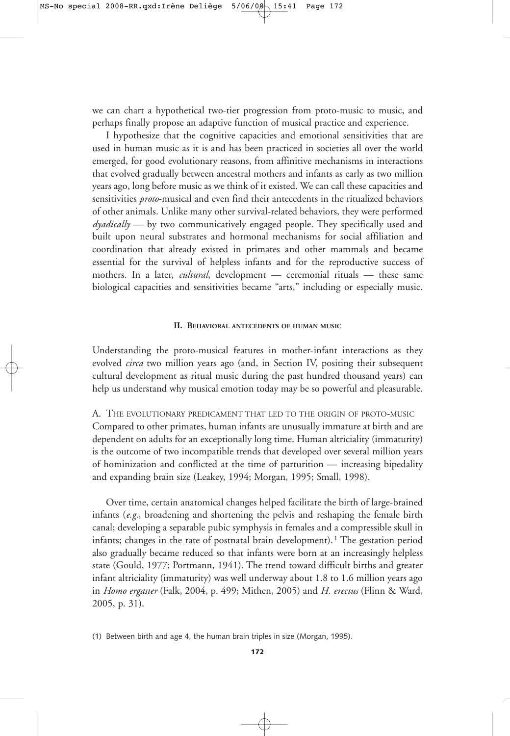we can chart a hypothetical two-tier progression from proto-music to music, and perhaps finally propose an adaptive function of musical practice and experience.

I hypothesize that the cognitive capacities and emotional sensitivities that are used in human music as it is and has been practiced in societies all over the world emerged, for good evolutionary reasons, from affinitive mechanisms in interactions that evolved gradually between ancestral mothers and infants as early as two million years ago, long before music as we think of it existed. We can call these capacities and sensitivities *proto*-musical and even find their antecedents in the ritualized behaviors of other animals. Unlike many other survival-related behaviors, they were performed *dyadically* — by two communicatively engaged people. They specifically used and built upon neural substrates and hormonal mechanisms for social affiliation and coordination that already existed in primates and other mammals and became essential for the survival of helpless infants and for the reproductive success of mothers. In a later, *cultural*, development — ceremonial rituals — these same biological capacities and sensitivities became "arts," including or especially music.

#### **II. BEHAVIORAL ANTECEDENTS OF HUMAN MUSIC**

Understanding the proto-musical features in mother-infant interactions as they evolved *circa* two million years ago (and, in Section IV, positing their subsequent cultural development as ritual music during the past hundred thousand years) can help us understand why musical emotion today may be so powerful and pleasurable.

A. THE EVOLUTIONARY PREDICAMENT THAT LED TO THE ORIGIN OF PROTO-MUSIC Compared to other primates, human infants are unusually immature at birth and are dependent on adults for an exceptionally long time. Human altriciality (immaturity) is the outcome of two incompatible trends that developed over several million years of hominization and conflicted at the time of parturition — increasing bipedality and expanding brain size (Leakey, 1994; Morgan, 1995; Small, 1998).

Over time, certain anatomical changes helped facilitate the birth of large-brained infants (*e.g.*, broadening and shortening the pelvis and reshaping the female birth canal; developing a separable pubic symphysis in females and a compressible skull in infants; changes in the rate of postnatal brain development).<sup>1</sup> The gestation period also gradually became reduced so that infants were born at an increasingly helpless state (Gould, 1977; Portmann, 1941). The trend toward difficult births and greater infant altriciality (immaturity) was well underway about 1.8 to 1.6 million years ago in *Homo ergaster* (Falk, 2004, p. 499; Mithen, 2005) and *H. erectus* (Flinn & Ward, 2005, p. 31).

<sup>(1)</sup> Between birth and age 4, the human brain triples in size (Morgan, 1995).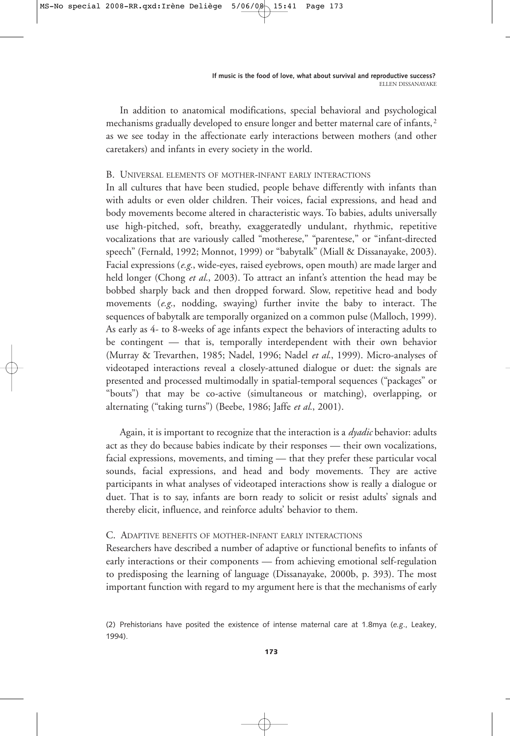In addition to anatomical modifications, special behavioral and psychological mechanisms gradually developed to ensure longer and better maternal care of infants, <sup>2</sup> as we see today in the affectionate early interactions between mothers (and other caretakers) and infants in every society in the world.

#### B. UNIVERSAL ELEMENTS OF MOTHER-INFANT EARLY INTERACTIONS

In all cultures that have been studied, people behave differently with infants than with adults or even older children. Their voices, facial expressions, and head and body movements become altered in characteristic ways. To babies, adults universally use high-pitched, soft, breathy, exaggeratedly undulant, rhythmic, repetitive vocalizations that are variously called "motherese," "parentese," or "infant-directed speech" (Fernald, 1992; Monnot, 1999) or "babytalk" (Miall & Dissanayake, 2003). Facial expressions (*e.g.*, wide-eyes, raised eyebrows, open mouth) are made larger and held longer (Chong *et al.*, 2003). To attract an infant's attention the head may be bobbed sharply back and then dropped forward. Slow, repetitive head and body movements (*e.g.*, nodding, swaying) further invite the baby to interact. The sequences of babytalk are temporally organized on a common pulse (Malloch, 1999). As early as 4- to 8-weeks of age infants expect the behaviors of interacting adults to be contingent — that is, temporally interdependent with their own behavior (Murray & Trevarthen, 1985; Nadel, 1996; Nadel *et al.*, 1999). Micro-analyses of videotaped interactions reveal a closely-attuned dialogue or duet: the signals are presented and processed multimodally in spatial-temporal sequences ("packages" or "bouts") that may be co-active (simultaneous or matching), overlapping, or alternating ("taking turns") (Beebe, 1986; Jaffe *et al.*, 2001).

Again, it is important to recognize that the interaction is a *dyadic* behavior: adults act as they do because babies indicate by their responses — their own vocalizations, facial expressions, movements, and timing — that they prefer these particular vocal sounds, facial expressions, and head and body movements. They are active participants in what analyses of videotaped interactions show is really a dialogue or duet. That is to say, infants are born ready to solicit or resist adults' signals and thereby elicit, influence, and reinforce adults' behavior to them.

## C. ADAPTIVE BENEFITS OF MOTHER-INFANT EARLY INTERACTIONS

Researchers have described a number of adaptive or functional benefits to infants of early interactions or their components — from achieving emotional self-regulation to predisposing the learning of language (Dissanayake, 2000b, p. 393). The most important function with regard to my argument here is that the mechanisms of early

(2) Prehistorians have posited the existence of intense maternal care at 1.8mya (*e.g*., Leakey, 1994).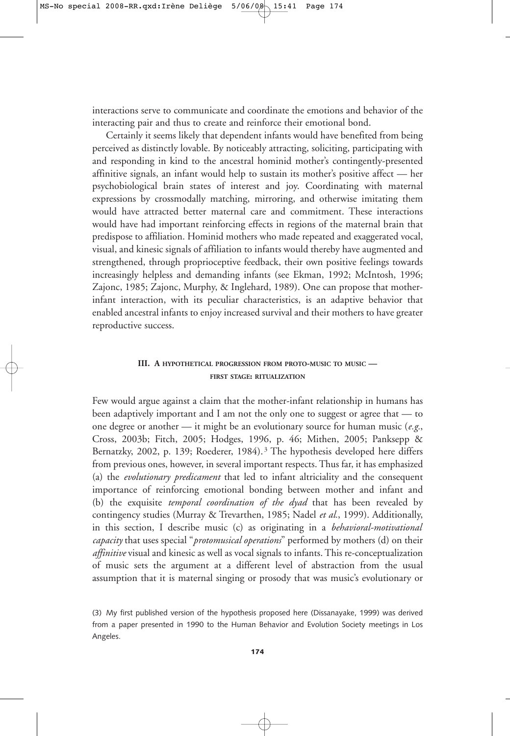interactions serve to communicate and coordinate the emotions and behavior of the interacting pair and thus to create and reinforce their emotional bond.

Certainly it seems likely that dependent infants would have benefited from being perceived as distinctly lovable. By noticeably attracting, soliciting, participating with and responding in kind to the ancestral hominid mother's contingently-presented affinitive signals, an infant would help to sustain its mother's positive affect — her psychobiological brain states of interest and joy. Coordinating with maternal expressions by crossmodally matching, mirroring, and otherwise imitating them would have attracted better maternal care and commitment. These interactions would have had important reinforcing effects in regions of the maternal brain that predispose to affiliation. Hominid mothers who made repeated and exaggerated vocal, visual, and kinesic signals of affiliation to infants would thereby have augmented and strengthened, through proprioceptive feedback, their own positive feelings towards increasingly helpless and demanding infants (see Ekman, 1992; McIntosh, 1996; Zajonc, 1985; Zajonc, Murphy, & Inglehard, 1989). One can propose that motherinfant interaction, with its peculiar characteristics, is an adaptive behavior that enabled ancestral infants to enjoy increased survival and their mothers to have greater reproductive success.

# **III. A HYPOTHETICAL PROGRESSION FROM PROTO-MUSIC TO MUSIC — FIRST STAGE: RITUALIZATION**

Few would argue against a claim that the mother-infant relationship in humans has been adaptively important and I am not the only one to suggest or agree that — to one degree or another — it might be an evolutionary source for human music (*e.g.*, Cross, 2003b; Fitch, 2005; Hodges, 1996, p. 46; Mithen, 2005; Panksepp & Bernatzky, 2002, p. 139; Roederer, 1984). <sup>3</sup> The hypothesis developed here differs from previous ones, however, in several important respects. Thus far, it has emphasized (a) the *evolutionary predicament* that led to infant altriciality and the consequent importance of reinforcing emotional bonding between mother and infant and (b) the exquisite *temporal coordination of the dyad* that has been revealed by contingency studies (Murray & Trevarthen, 1985; Nadel *et al.*, 1999). Additionally, in this section, I describe music (c) as originating in a *behavioral-motivational capacity* that uses special "*protomusical operations*" performed by mothers (d) on their *affinitive* visual and kinesic as well as vocal signals to infants. This re-conceptualization of music sets the argument at a different level of abstraction from the usual assumption that it is maternal singing or prosody that was music's evolutionary or

(3) My first published version of the hypothesis proposed here (Dissanayake, 1999) was derived from a paper presented in 1990 to the Human Behavior and Evolution Society meetings in Los Angeles.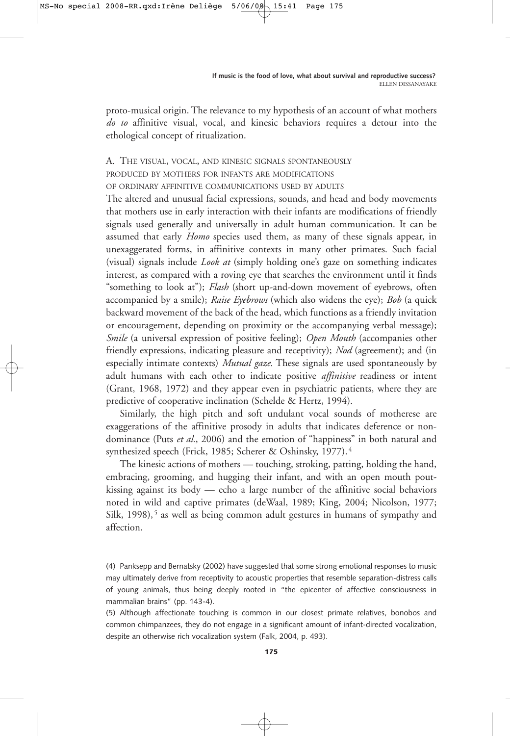proto-musical origin. The relevance to my hypothesis of an account of what mothers *do to* affinitive visual, vocal, and kinesic behaviors requires a detour into the ethological concept of ritualization.

### A. THE VISUAL, VOCAL, AND KINESIC SIGNALS SPONTANEOUSLY

# PRODUCED BY MOTHERS FOR INFANTS ARE MODIFICATIONS

OF ORDINARY AFFINITIVE COMMUNICATIONS USED BY ADULTS

The altered and unusual facial expressions, sounds, and head and body movements that mothers use in early interaction with their infants are modifications of friendly signals used generally and universally in adult human communication. It can be assumed that early *Homo* species used them, as many of these signals appear, in unexaggerated forms, in affinitive contexts in many other primates. Such facial (visual) signals include *Look at* (simply holding one's gaze on something indicates interest, as compared with a roving eye that searches the environment until it finds "something to look at"); *Flash* (short up-and-down movement of eyebrows, often accompanied by a smile); *Raise Eyebrows* (which also widens the eye); *Bob* (a quick backward movement of the back of the head, which functions as a friendly invitation or encouragement, depending on proximity or the accompanying verbal message); *Smile* (a universal expression of positive feeling); *Open Mouth* (accompanies other friendly expressions, indicating pleasure and receptivity); *Nod* (agreement); and (in especially intimate contexts) *Mutual gaze.* These signals are used spontaneously by adult humans with each other to indicate positive *affinitive* readiness or intent (Grant, 1968, 1972) and they appear even in psychiatric patients, where they are predictive of cooperative inclination (Schelde & Hertz, 1994).

Similarly, the high pitch and soft undulant vocal sounds of motherese are exaggerations of the affinitive prosody in adults that indicates deference or nondominance (Puts *et al.*, 2006) and the emotion of "happiness" in both natural and synthesized speech (Frick, 1985; Scherer & Oshinsky, 1977). <sup>4</sup>

The kinesic actions of mothers — touching, stroking, patting, holding the hand, embracing, grooming, and hugging their infant, and with an open mouth poutkissing against its body — echo a large number of the affinitive social behaviors noted in wild and captive primates (deWaal, 1989; King, 2004; Nicolson, 1977; Silk, 1998),<sup>5</sup> as well as being common adult gestures in humans of sympathy and affection.

(5) Although affectionate touching is common in our closest primate relatives, bonobos and common chimpanzees, they do not engage in a significant amount of infant-directed vocalization, despite an otherwise rich vocalization system (Falk, 2004, p. 493).

<sup>(4)</sup> Panksepp and Bernatsky (2002) have suggested that some strong emotional responses to music may ultimately derive from receptivity to acoustic properties that resemble separation-distress calls of young animals, thus being deeply rooted in "the epicenter of affective consciousness in mammalian brains" (pp. 143-4).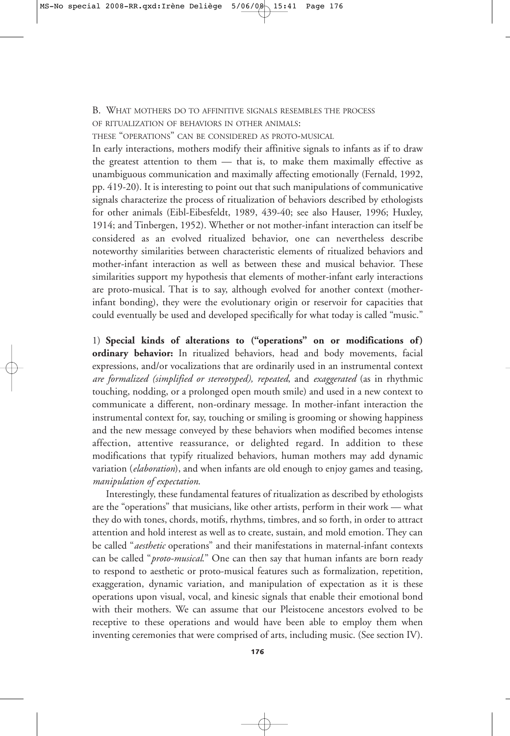B. WHAT MOTHERS DO TO AFFINITIVE SIGNALS RESEMBLES THE PROCESS OF RITUALIZATION OF BEHAVIORS IN OTHER ANIMALS:

THESE "OPERATIONS" CAN BE CONSIDERED AS PROTO-MUSICAL

In early interactions, mothers modify their affinitive signals to infants as if to draw the greatest attention to them — that is, to make them maximally effective as unambiguous communication and maximally affecting emotionally (Fernald, 1992, pp. 419-20). It is interesting to point out that such manipulations of communicative signals characterize the process of ritualization of behaviors described by ethologists for other animals (Eibl-Eibesfeldt, 1989, 439-40; see also Hauser, 1996; Huxley, 1914; and Tinbergen, 1952). Whether or not mother-infant interaction can itself be considered as an evolved ritualized behavior, one can nevertheless describe noteworthy similarities between characteristic elements of ritualized behaviors and mother-infant interaction as well as between these and musical behavior. These similarities support my hypothesis that elements of mother-infant early interactions are proto-musical. That is to say, although evolved for another context (motherinfant bonding), they were the evolutionary origin or reservoir for capacities that could eventually be used and developed specifically for what today is called "music."

1) **Special kinds of alterations to ("operations" on or modifications of) ordinary behavior:** In ritualized behaviors, head and body movements, facial expressions, and/or vocalizations that are ordinarily used in an instrumental context *are formalized (simplified or stereotyped), repeated*, and *exaggerated* (as in rhythmic touching, nodding, or a prolonged open mouth smile) and used in a new context to communicate a different, non-ordinary message. In mother-infant interaction the instrumental context for, say, touching or smiling is grooming or showing happiness and the new message conveyed by these behaviors when modified becomes intense affection, attentive reassurance, or delighted regard. In addition to these modifications that typify ritualized behaviors, human mothers may add dynamic variation (*elaboration*), and when infants are old enough to enjoy games and teasing, *manipulation of expectation*.

Interestingly, these fundamental features of ritualization as described by ethologists are the "operations" that musicians, like other artists, perform in their work — what they do with tones, chords, motifs, rhythms, timbres, and so forth, in order to attract attention and hold interest as well as to create, sustain, and mold emotion. They can be called "*aesthetic* operations" and their manifestations in maternal-infant contexts can be called "*proto-musical*." One can then say that human infants are born ready to respond to aesthetic or proto-musical features such as formalization, repetition, exaggeration, dynamic variation, and manipulation of expectation as it is these operations upon visual, vocal, and kinesic signals that enable their emotional bond with their mothers. We can assume that our Pleistocene ancestors evolved to be receptive to these operations and would have been able to employ them when inventing ceremonies that were comprised of arts, including music. (See section IV).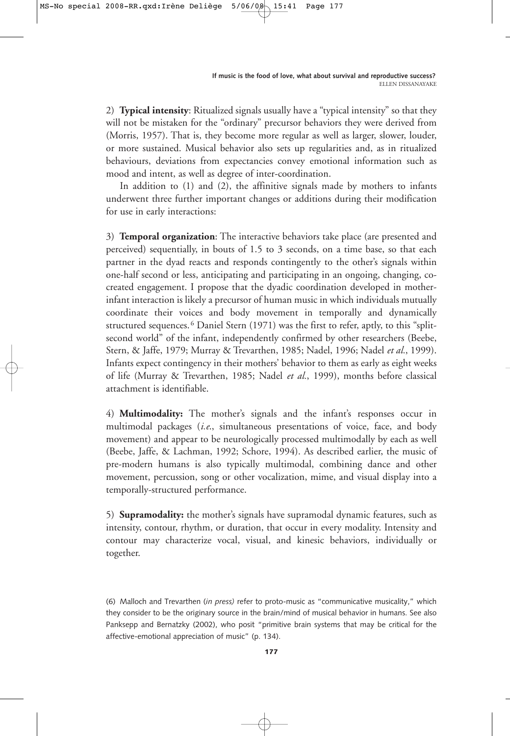2) **Typical intensity**: Ritualized signals usually have a "typical intensity" so that they will not be mistaken for the "ordinary" precursor behaviors they were derived from (Morris, 1957). That is, they become more regular as well as larger, slower, louder, or more sustained. Musical behavior also sets up regularities and, as in ritualized behaviours, deviations from expectancies convey emotional information such as mood and intent, as well as degree of inter-coordination.

In addition to (1) and (2), the affinitive signals made by mothers to infants underwent three further important changes or additions during their modification for use in early interactions:

3) **Temporal organization**: The interactive behaviors take place (are presented and perceived) sequentially, in bouts of 1.5 to 3 seconds, on a time base, so that each partner in the dyad reacts and responds contingently to the other's signals within one-half second or less, anticipating and participating in an ongoing, changing, cocreated engagement. I propose that the dyadic coordination developed in motherinfant interaction is likely a precursor of human music in which individuals mutually coordinate their voices and body movement in temporally and dynamically structured sequences. <sup>6</sup> Daniel Stern (1971) was the first to refer, aptly, to this "splitsecond world" of the infant, independently confirmed by other researchers (Beebe, Stern, & Jaffe, 1979; Murray & Trevarthen, 1985; Nadel, 1996; Nadel *et al.*, 1999). Infants expect contingency in their mothers' behavior to them as early as eight weeks of life (Murray & Trevarthen, 1985; Nadel *et al.*, 1999), months before classical attachment is identifiable.

4) **Multimodality:** The mother's signals and the infant's responses occur in multimodal packages (*i.e*., simultaneous presentations of voice, face, and body movement) and appear to be neurologically processed multimodally by each as well (Beebe, Jaffe, & Lachman, 1992; Schore, 1994). As described earlier, the music of pre-modern humans is also typically multimodal, combining dance and other movement, percussion, song or other vocalization, mime, and visual display into a temporally-structured performance.

5) **Supramodality:** the mother's signals have supramodal dynamic features, such as intensity, contour, rhythm, or duration, that occur in every modality. Intensity and contour may characterize vocal, visual, and kinesic behaviors, individually or together.

<sup>(6)</sup> Malloch and Trevarthen (*in press)* refer to proto-music as "communicative musicality," which they consider to be the originary source in the brain/mind of musical behavior in humans. See also Panksepp and Bernatzky (2002), who posit "primitive brain systems that may be critical for the affective-emotional appreciation of music" (p. 134).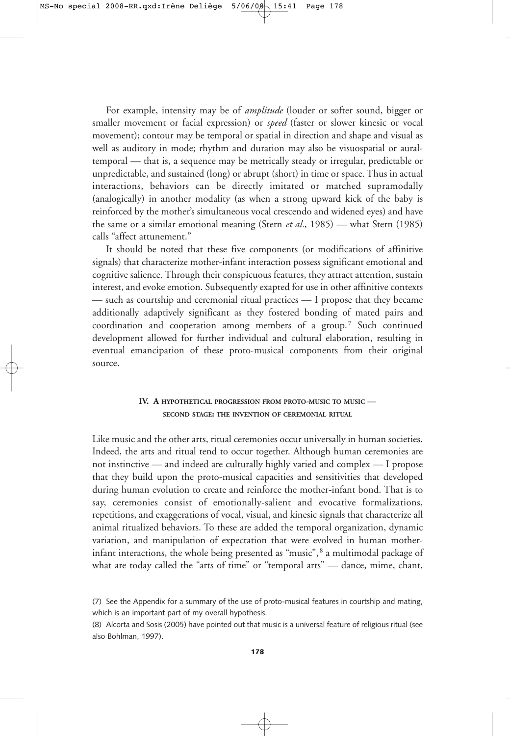For example, intensity may be of *amplitude* (louder or softer sound, bigger or smaller movement or facial expression) or *speed* (faster or slower kinesic or vocal movement); contour may be temporal or spatial in direction and shape and visual as well as auditory in mode; rhythm and duration may also be visuospatial or auraltemporal — that is, a sequence may be metrically steady or irregular, predictable or unpredictable, and sustained (long) or abrupt (short) in time or space. Thus in actual interactions, behaviors can be directly imitated or matched supramodally (analogically) in another modality (as when a strong upward kick of the baby is reinforced by the mother's simultaneous vocal crescendo and widened eyes) and have the same or a similar emotional meaning (Stern *et al.*, 1985) — what Stern (1985) calls "affect attunement."

It should be noted that these five components (or modifications of affinitive signals) that characterize mother-infant interaction possess significant emotional and cognitive salience. Through their conspicuous features, they attract attention, sustain interest, and evoke emotion. Subsequently exapted for use in other affinitive contexts — such as courtship and ceremonial ritual practices — I propose that they became additionally adaptively significant as they fostered bonding of mated pairs and coordination and cooperation among members of a group.<sup>7</sup> Such continued development allowed for further individual and cultural elaboration, resulting in eventual emancipation of these proto-musical components from their original source.

# **IV. A HYPOTHETICAL PROGRESSION FROM PROTO-MUSIC TO MUSIC — SECOND STAGE: THE INVENTION OF CEREMONIAL RITUAL**

Like music and the other arts, ritual ceremonies occur universally in human societies. Indeed, the arts and ritual tend to occur together. Although human ceremonies are not instinctive — and indeed are culturally highly varied and complex — I propose that they build upon the proto-musical capacities and sensitivities that developed during human evolution to create and reinforce the mother-infant bond. That is to say, ceremonies consist of emotionally-salient and evocative formalizations, repetitions, and exaggerations of vocal, visual, and kinesic signals that characterize all animal ritualized behaviors. To these are added the temporal organization, dynamic variation, and manipulation of expectation that were evolved in human motherinfant interactions, the whole being presented as "music", <sup>8</sup> a multimodal package of what are today called the "arts of time" or "temporal arts" — dance, mime, chant,

<sup>(7)</sup> See the Appendix for a summary of the use of proto-musical features in courtship and mating, which is an important part of my overall hypothesis.

<sup>(8)</sup> Alcorta and Sosis (2005) have pointed out that music is a universal feature of religious ritual (see also Bohlman, 1997).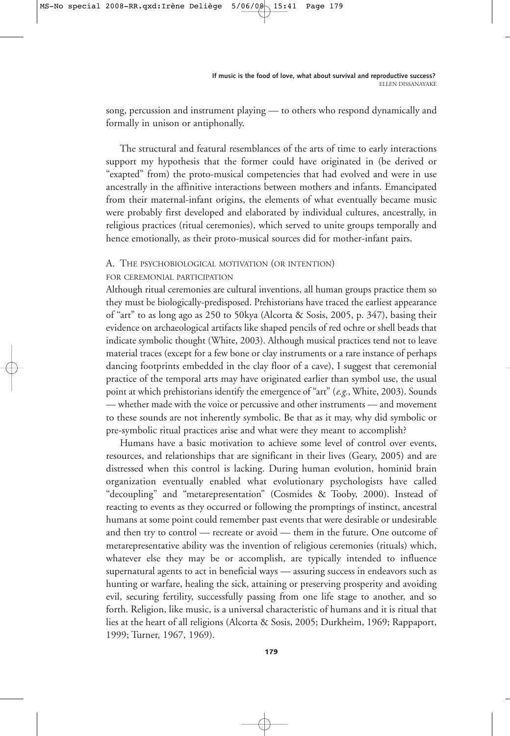song, percussion and instrument playing — to others who respond dynamically and formally in unison or antiphonally.

The structural and featural resemblances of the arts of time to early interactions support my hypothesis that the former could have originated in (be derived or "exapted" from) the proto-musical competencies that had evolved and were in use ancestrally in the affinitive interactions between mothers and infants. Emancipated from their maternal-infant origins, the elements of what eventually became music were probably first developed and elaborated by individual cultures, ancestrally, in religious practices (ritual ceremonies), which served to unite groups temporally and hence emotionally, as their proto-musical sources did for mother-infant pairs.

## A. THE PSYCHOBIOLOGICAL MOTIVATION (OR INTENTION)

#### FOR CEREMONIAL PARTICIPATION

Although ritual ceremonies are cultural inventions, all human groups practice them so they must be biologically-predisposed. Prehistorians have traced the earliest appearance of "art" to as long ago as 250 to 50kya (Alcorta & Sosis, 2005, p. 347), basing their evidence on archaeological artifacts like shaped pencils of red ochre or shell beads that indicate symbolic thought (White, 2003). Although musical practices tend not to leave material traces (except for a few bone or clay instruments or a rare instance of perhaps dancing footprints embedded in the clay floor of a cave), I suggest that ceremonial practice of the temporal arts may have originated earlier than symbol use, the usual point at which prehistorians identify the emergence of "art" (*e.g.*, White, 2003). Sounds — whether made with the voice or percussive and other instruments — and movement to these sounds are not inherently symbolic. Be that as it may, why did symbolic or pre-symbolic ritual practices arise and what were they meant to accomplish?

Humans have a basic motivation to achieve some level of control over events, resources, and relationships that are significant in their lives (Geary, 2005) and are distressed when this control is lacking. During human evolution, hominid brain organization eventually enabled what evolutionary psychologists have called "decoupling" and "metarepresentation" (Cosmides & Tooby, 2000). Instead of reacting to events as they occurred or following the promptings of instinct, ancestral humans at some point could remember past events that were desirable or undesirable and then try to control — recreate or avoid — them in the future. One outcome of metarepresentative ability was the invention of religious ceremonies (rituals) which, whatever else they may be or accomplish, are typically intended to influence supernatural agents to act in beneficial ways — assuring success in endeavors such as hunting or warfare, healing the sick, attaining or preserving prosperity and avoiding evil, securing fertility, successfully passing from one life stage to another, and so forth. Religion, like music, is a universal characteristic of humans and it is ritual that lies at the heart of all religions (Alcorta & Sosis, 2005; Durkheim, 1969; Rappaport, 1999; Turner, 1967, 1969).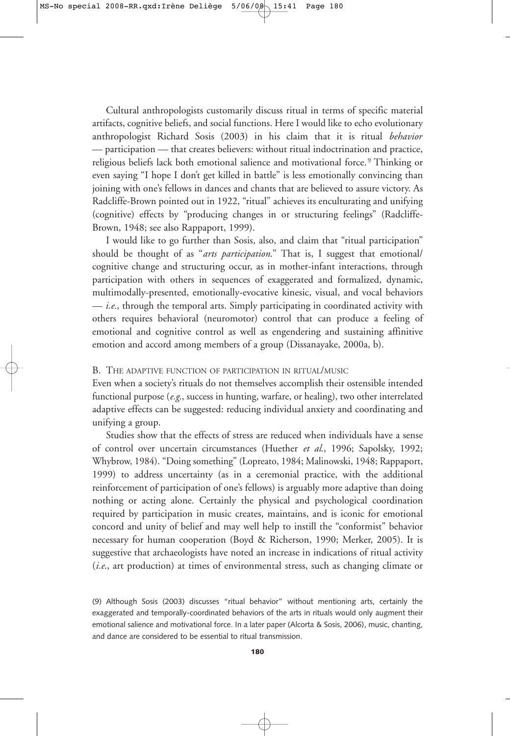Cultural anthropologists customarily discuss ritual in terms of specific material artifacts, cognitive beliefs, and social functions. Here I would like to echo evolutionary anthropologist Richard Sosis (2003) in his claim that it is ritual *behavior* — participation — that creates believers: without ritual indoctrination and practice, religious beliefs lack both emotional salience and motivational force. <sup>9</sup> Thinking or even saying "I hope I don't get killed in battle" is less emotionally convincing than joining with one's fellows in dances and chants that are believed to assure victory. As Radcliffe-Brown pointed out in 1922, "ritual" achieves its enculturating and unifying (cognitive) effects by "producing changes in or structuring feelings" (Radcliffe-Brown, 1948; see also Rappaport, 1999).

I would like to go further than Sosis, also, and claim that "ritual participation" should be thought of as "*arts participation*." That is, I suggest that emotional/ cognitive change and structuring occur, as in mother-infant interactions, through participation with others in sequences of exaggerated and formalized, dynamic, multimodally-presented, emotionally-evocative kinesic, visual, and vocal behaviors — *i.e.*, through the temporal arts. Simply participating in coordinated activity with others requires behavioral (neuromotor) control that can produce a feeling of emotional and cognitive control as well as engendering and sustaining affinitive emotion and accord among members of a group (Dissanayake, 2000a, b).

### B. THE ADAPTIVE FUNCTION OF PARTICIPATION IN RITUAL/MUSIC

Even when a society's rituals do not themselves accomplish their ostensible intended functional purpose (*e.g*., success in hunting, warfare, or healing), two other interrelated adaptive effects can be suggested: reducing individual anxiety and coordinating and unifying a group.

Studies show that the effects of stress are reduced when individuals have a sense of control over uncertain circumstances (Huether *et al.*, 1996; Sapolsky, 1992; Whybrow, 1984). "Doing something" (Lopreato, 1984; Malinowski, 1948; Rappaport, 1999) to address uncertainty (as in a ceremonial practice, with the additional reinforcement of participation of one's fellows) is arguably more adaptive than doing nothing or acting alone. Certainly the physical and psychological coordination required by participation in music creates, maintains, and is iconic for emotional concord and unity of belief and may well help to instill the "conformist" behavior necessary for human cooperation (Boyd & Richerson, 1990; Merker, 2005). It is suggestive that archaeologists have noted an increase in indications of ritual activity (*i.e*., art production) at times of environmental stress, such as changing climate or

(9) Although Sosis (2003) discusses "ritual behavior" without mentioning arts, certainly the exaggerated and temporally-coordinated behaviors of the arts in rituals would only augment their emotional salience and motivational force. In a later paper (Alcorta & Sosis, 2006), music, chanting, and dance are considered to be essential to ritual transmission.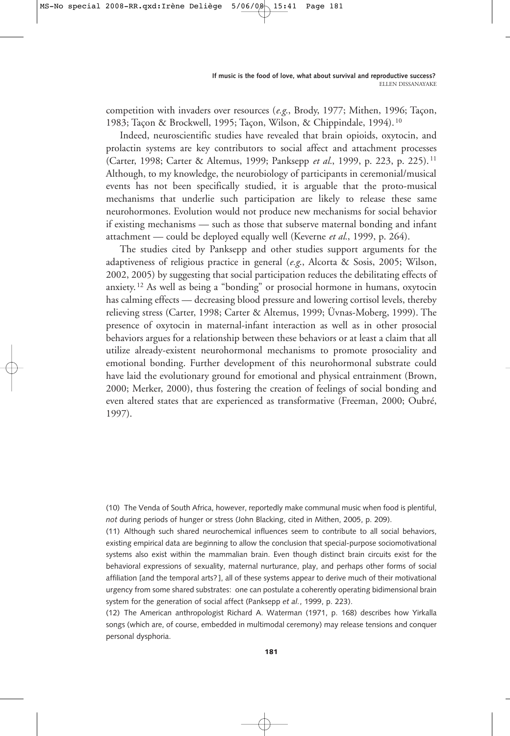competition with invaders over resources (*e.g*., Brody, 1977; Mithen, 1996; Taçon, 1983; Taçon & Brockwell, 1995; Taçon, Wilson, & Chippindale, 1994). <sup>10</sup>

Indeed, neuroscientific studies have revealed that brain opioids, oxytocin, and prolactin systems are key contributors to social affect and attachment processes (Carter, 1998; Carter & Altemus, 1999; Panksepp *et al.*, 1999, p. 223, p. 225). <sup>11</sup> Although, to my knowledge, the neurobiology of participants in ceremonial/musical events has not been specifically studied, it is arguable that the proto-musical mechanisms that underlie such participation are likely to release these same neurohormones. Evolution would not produce new mechanisms for social behavior if existing mechanisms — such as those that subserve maternal bonding and infant attachment — could be deployed equally well (Keverne *et al.*, 1999, p. 264).

The studies cited by Panksepp and other studies support arguments for the adaptiveness of religious practice in general (*e.g*., Alcorta & Sosis, 2005; Wilson, 2002, 2005) by suggesting that social participation reduces the debilitating effects of anxiety. <sup>12</sup> As well as being a "bonding" or prosocial hormone in humans, oxytocin has calming effects — decreasing blood pressure and lowering cortisol levels, thereby relieving stress (Carter, 1998; Carter & Altemus, 1999; Üvnas-Moberg, 1999). The presence of oxytocin in maternal-infant interaction as well as in other prosocial behaviors argues for a relationship between these behaviors or at least a claim that all utilize already-existent neurohormonal mechanisms to promote prosociality and emotional bonding. Further development of this neurohormonal substrate could have laid the evolutionary ground for emotional and physical entrainment (Brown, 2000; Merker, 2000), thus fostering the creation of feelings of social bonding and even altered states that are experienced as transformative (Freeman, 2000; Oubré, 1997).

(10) The Venda of South Africa, however, reportedly make communal music when food is plentiful, *not* during periods of hunger or stress (John Blacking, cited in Mithen, 2005, p. 209).

(11) Although such shared neurochemical influences seem to contribute to all social behaviors, existing empirical data are beginning to allow the conclusion that special-purpose sociomotivational systems also exist within the mammalian brain. Even though distinct brain circuits exist for the behavioral expressions of sexuality, maternal nurturance, play, and perhaps other forms of social affiliation [and the temporal arts? ], all of these systems appear to derive much of their motivational urgency from some shared substrates: one can postulate a coherently operating bidimensional brain system for the generation of social affect (Panksepp *et al.*, 1999, p. 223).

(12) The American anthropologist Richard A. Waterman (1971, p. 168) describes how Yirkalla songs (which are, of course, embedded in multimodal ceremony) may release tensions and conquer personal dysphoria.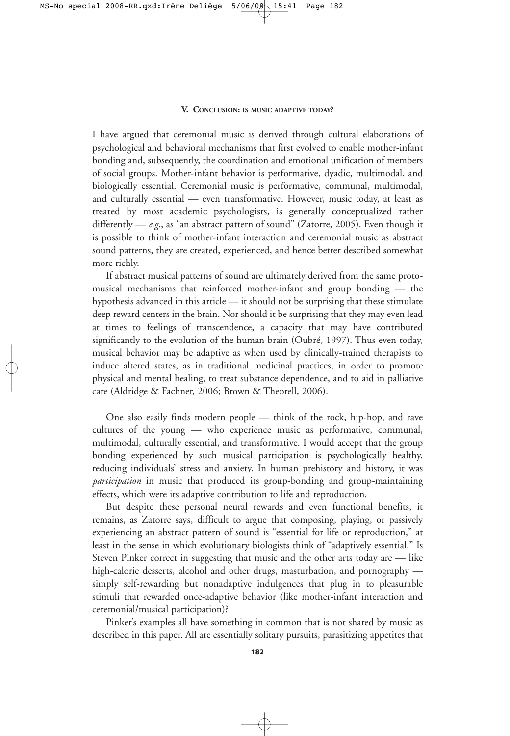#### **V. CONCLUSION: IS MUSIC ADAPTIVE TODAY?**

I have argued that ceremonial music is derived through cultural elaborations of psychological and behavioral mechanisms that first evolved to enable mother-infant bonding and, subsequently, the coordination and emotional unification of members of social groups. Mother-infant behavior is performative, dyadic, multimodal, and biologically essential. Ceremonial music is performative, communal, multimodal, and culturally essential — even transformative. However, music today, at least as treated by most academic psychologists, is generally conceptualized rather differently — *e.g*., as "an abstract pattern of sound" (Zatorre, 2005). Even though it is possible to think of mother-infant interaction and ceremonial music as abstract sound patterns, they are created, experienced, and hence better described somewhat more richly.

If abstract musical patterns of sound are ultimately derived from the same protomusical mechanisms that reinforced mother-infant and group bonding — the hypothesis advanced in this article — it should not be surprising that these stimulate deep reward centers in the brain. Nor should it be surprising that they may even lead at times to feelings of transcendence, a capacity that may have contributed significantly to the evolution of the human brain (Oubré, 1997). Thus even today, musical behavior may be adaptive as when used by clinically-trained therapists to induce altered states, as in traditional medicinal practices, in order to promote physical and mental healing, to treat substance dependence, and to aid in palliative care (Aldridge & Fachner, 2006; Brown & Theorell, 2006).

One also easily finds modern people — think of the rock, hip-hop, and rave cultures of the young — who experience music as performative, communal, multimodal, culturally essential, and transformative. I would accept that the group bonding experienced by such musical participation is psychologically healthy, reducing individuals' stress and anxiety. In human prehistory and history, it was *participation* in music that produced its group-bonding and group-maintaining effects, which were its adaptive contribution to life and reproduction.

But despite these personal neural rewards and even functional benefits, it remains, as Zatorre says, difficult to argue that composing, playing, or passively experiencing an abstract pattern of sound is "essential for life or reproduction," at least in the sense in which evolutionary biologists think of "adaptively essential." Is Steven Pinker correct in suggesting that music and the other arts today are — like high-calorie desserts, alcohol and other drugs, masturbation, and pornography simply self-rewarding but nonadaptive indulgences that plug in to pleasurable stimuli that rewarded once-adaptive behavior (like mother-infant interaction and ceremonial/musical participation)?

Pinker's examples all have something in common that is not shared by music as described in this paper. All are essentially solitary pursuits, parasitizing appetites that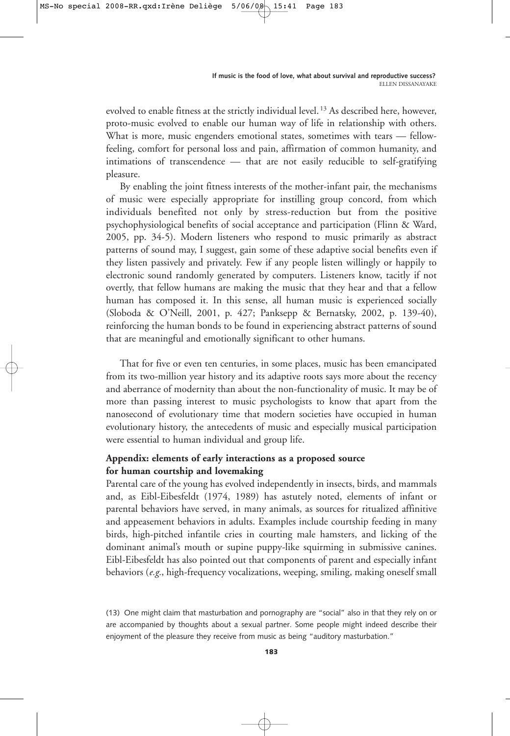evolved to enable fitness at the strictly individual level. <sup>13</sup> As described here, however, proto-music evolved to enable our human way of life in relationship with others. What is more, music engenders emotional states, sometimes with tears — fellowfeeling, comfort for personal loss and pain, affirmation of common humanity, and intimations of transcendence — that are not easily reducible to self-gratifying pleasure.

By enabling the joint fitness interests of the mother-infant pair, the mechanisms of music were especially appropriate for instilling group concord, from which individuals benefited not only by stress-reduction but from the positive psychophysiological benefits of social acceptance and participation (Flinn & Ward, 2005, pp. 34-5). Modern listeners who respond to music primarily as abstract patterns of sound may, I suggest, gain some of these adaptive social benefits even if they listen passively and privately. Few if any people listen willingly or happily to electronic sound randomly generated by computers. Listeners know, tacitly if not overtly, that fellow humans are making the music that they hear and that a fellow human has composed it. In this sense, all human music is experienced socially (Sloboda & O'Neill, 2001, p. 427; Panksepp & Bernatsky, 2002, p. 139-40), reinforcing the human bonds to be found in experiencing abstract patterns of sound that are meaningful and emotionally significant to other humans.

That for five or even ten centuries, in some places, music has been emancipated from its two-million year history and its adaptive roots says more about the recency and aberrance of modernity than about the non-functionality of music. It may be of more than passing interest to music psychologists to know that apart from the nanosecond of evolutionary time that modern societies have occupied in human evolutionary history, the antecedents of music and especially musical participation were essential to human individual and group life.

# **Appendix: elements of early interactions as a proposed source for human courtship and lovemaking**

Parental care of the young has evolved independently in insects, birds, and mammals and, as Eibl-Eibesfeldt (1974, 1989) has astutely noted, elements of infant or parental behaviors have served, in many animals, as sources for ritualized affinitive and appeasement behaviors in adults. Examples include courtship feeding in many birds, high-pitched infantile cries in courting male hamsters, and licking of the dominant animal's mouth or supine puppy-like squirming in submissive canines. Eibl-Eibesfeldt has also pointed out that components of parent and especially infant behaviors (*e.g.*, high-frequency vocalizations, weeping, smiling, making oneself small

<sup>(13)</sup> One might claim that masturbation and pornography are "social" also in that they rely on or are accompanied by thoughts about a sexual partner. Some people might indeed describe their enjoyment of the pleasure they receive from music as being "auditory masturbation."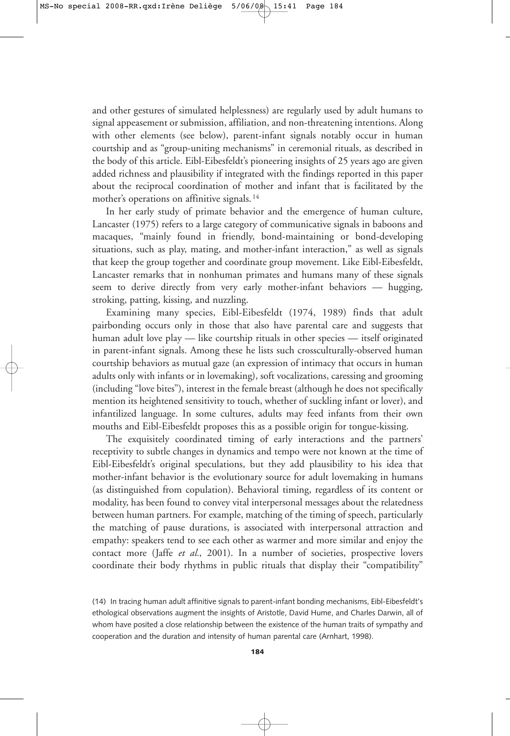and other gestures of simulated helplessness) are regularly used by adult humans to signal appeasement or submission, affiliation, and non-threatening intentions. Along with other elements (see below), parent-infant signals notably occur in human courtship and as "group-uniting mechanisms" in ceremonial rituals, as described in the body of this article. Eibl-Eibesfeldt's pioneering insights of 25 years ago are given added richness and plausibility if integrated with the findings reported in this paper about the reciprocal coordination of mother and infant that is facilitated by the mother's operations on affinitive signals.<sup>14</sup>

In her early study of primate behavior and the emergence of human culture, Lancaster (1975) refers to a large category of communicative signals in baboons and macaques, "mainly found in friendly, bond-maintaining or bond-developing situations, such as play, mating, and mother-infant interaction," as well as signals that keep the group together and coordinate group movement. Like Eibl-Eibesfeldt, Lancaster remarks that in nonhuman primates and humans many of these signals seem to derive directly from very early mother-infant behaviors — hugging, stroking, patting, kissing, and nuzzling.

Examining many species, Eibl-Eibesfeldt (1974, 1989) finds that adult pairbonding occurs only in those that also have parental care and suggests that human adult love play — like courtship rituals in other species — itself originated in parent-infant signals. Among these he lists such crossculturally-observed human courtship behaviors as mutual gaze (an expression of intimacy that occurs in human adults only with infants or in lovemaking), soft vocalizations, caressing and grooming (including "love bites"), interest in the female breast (although he does not specifically mention its heightened sensitivity to touch, whether of suckling infant or lover), and infantilized language. In some cultures, adults may feed infants from their own mouths and Eibl-Eibesfeldt proposes this as a possible origin for tongue-kissing.

The exquisitely coordinated timing of early interactions and the partners' receptivity to subtle changes in dynamics and tempo were not known at the time of Eibl-Eibesfeldt's original speculations, but they add plausibility to his idea that mother-infant behavior is the evolutionary source for adult lovemaking in humans (as distinguished from copulation). Behavioral timing, regardless of its content or modality, has been found to convey vital interpersonal messages about the relatedness between human partners. For example, matching of the timing of speech, particularly the matching of pause durations, is associated with interpersonal attraction and empathy: speakers tend to see each other as warmer and more similar and enjoy the contact more (Jaffe *et al.*, 2001). In a number of societies, prospective lovers coordinate their body rhythms in public rituals that display their "compatibility"

<sup>(14)</sup> In tracing human adult affinitive signals to parent-infant bonding mechanisms, Eibl-Eibesfeldt's ethological observations augment the insights of Aristotle, David Hume, and Charles Darwin, all of whom have posited a close relationship between the existence of the human traits of sympathy and cooperation and the duration and intensity of human parental care (Arnhart, 1998).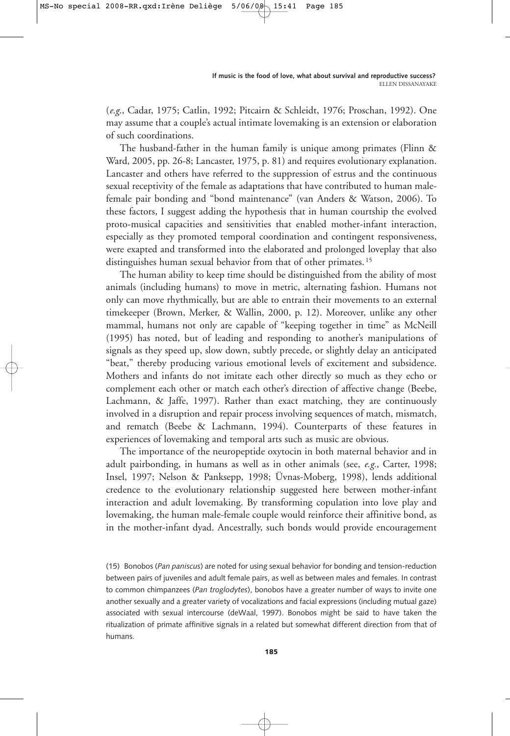(*e.g*., Cadar, 1975; Catlin, 1992; Pitcairn & Schleidt, 1976; Proschan, 1992). One may assume that a couple's actual intimate lovemaking is an extension or elaboration of such coordinations.

The husband-father in the human family is unique among primates (Flinn & Ward, 2005, pp. 26-8; Lancaster, 1975, p. 81) and requires evolutionary explanation. Lancaster and others have referred to the suppression of estrus and the continuous sexual receptivity of the female as adaptations that have contributed to human malefemale pair bonding and "bond maintenance" (van Anders & Watson, 2006). To these factors, I suggest adding the hypothesis that in human courtship the evolved proto-musical capacities and sensitivities that enabled mother-infant interaction, especially as they promoted temporal coordination and contingent responsiveness, were exapted and transformed into the elaborated and prolonged loveplay that also distinguishes human sexual behavior from that of other primates.<sup>15</sup>

The human ability to keep time should be distinguished from the ability of most animals (including humans) to move in metric, alternating fashion. Humans not only can move rhythmically, but are able to entrain their movements to an external timekeeper (Brown, Merker, & Wallin, 2000, p. 12). Moreover, unlike any other mammal, humans not only are capable of "keeping together in time" as McNeill (1995) has noted, but of leading and responding to another's manipulations of signals as they speed up, slow down, subtly precede, or slightly delay an anticipated "beat," thereby producing various emotional levels of excitement and subsidence. Mothers and infants do not imitate each other directly so much as they echo or complement each other or match each other's direction of affective change (Beebe, Lachmann, & Jaffe, 1997). Rather than exact matching, they are continuously involved in a disruption and repair process involving sequences of match, mismatch, and rematch (Beebe & Lachmann, 1994). Counterparts of these features in experiences of lovemaking and temporal arts such as music are obvious.

The importance of the neuropeptide oxytocin in both maternal behavior and in adult pairbonding, in humans as well as in other animals (see, *e.g.*, Carter, 1998; Insel, 1997; Nelson & Panksepp, 1998; Üvnas-Moberg, 1998), lends additional credence to the evolutionary relationship suggested here between mother-infant interaction and adult lovemaking. By transforming copulation into love play and lovemaking, the human male-female couple would reinforce their affinitive bond, as in the mother-infant dyad. Ancestrally, such bonds would provide encouragement

<sup>(15)</sup> Bonobos (*Pan paniscus*) are noted for using sexual behavior for bonding and tension-reduction between pairs of juveniles and adult female pairs, as well as between males and females. In contrast to common chimpanzees (*Pan troglodytes*), bonobos have a greater number of ways to invite one another sexually and a greater variety of vocalizations and facial expressions (including mutual gaze) associated with sexual intercourse (deWaal, 1997). Bonobos might be said to have taken the ritualization of primate affinitive signals in a related but somewhat different direction from that of humans.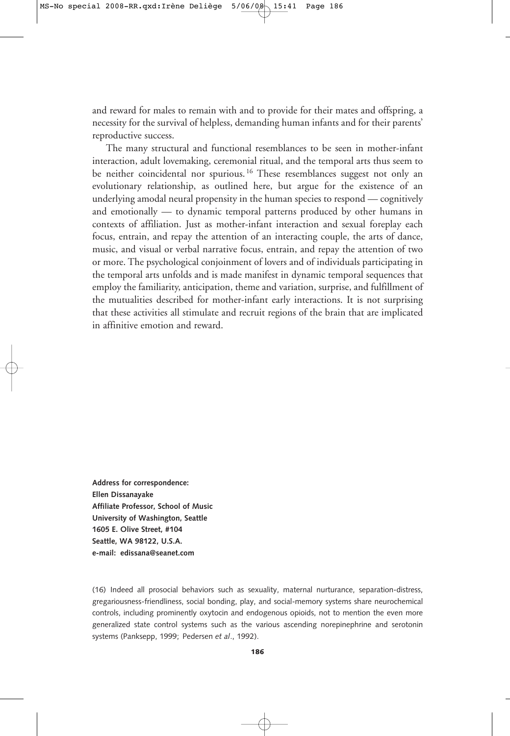and reward for males to remain with and to provide for their mates and offspring, a necessity for the survival of helpless, demanding human infants and for their parents' reproductive success.

The many structural and functional resemblances to be seen in mother-infant interaction, adult lovemaking, ceremonial ritual, and the temporal arts thus seem to be neither coincidental nor spurious.<sup>16</sup> These resemblances suggest not only an evolutionary relationship, as outlined here, but argue for the existence of an underlying amodal neural propensity in the human species to respond — cognitively and emotionally — to dynamic temporal patterns produced by other humans in contexts of affiliation. Just as mother-infant interaction and sexual foreplay each focus, entrain, and repay the attention of an interacting couple, the arts of dance, music, and visual or verbal narrative focus, entrain, and repay the attention of two or more. The psychological conjoinment of lovers and of individuals participating in the temporal arts unfolds and is made manifest in dynamic temporal sequences that employ the familiarity, anticipation, theme and variation, surprise, and fulfillment of the mutualities described for mother-infant early interactions. It is not surprising that these activities all stimulate and recruit regions of the brain that are implicated in affinitive emotion and reward.

**Address for correspondence: Ellen Dissanayake Affiliate Professor, School of Music University of Washington, Seattle 1605 E. Olive Street, #104 Seattle, WA 98122, U.S.A. e-mail: edissana@seanet.com**

(16) Indeed all prosocial behaviors such as sexuality, maternal nurturance, separation-distress, gregariousness-friendliness, social bonding, play, and social-memory systems share neurochemical controls, including prominently oxytocin and endogenous opioids, not to mention the even more generalized state control systems such as the various ascending norepinephrine and serotonin systems (Panksepp, 1999; Pedersen *et al*., 1992).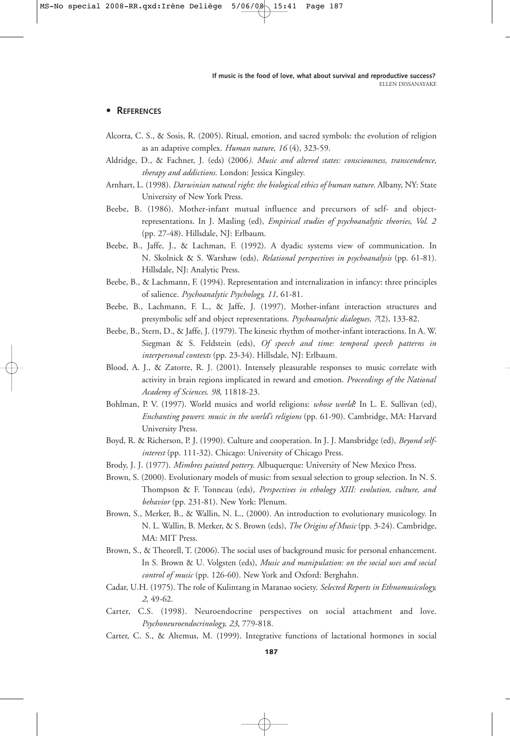#### **• REFERENCES**

- Alcorta, C. S., & Sosis, R. (2005). Ritual, emotion, and sacred symbols: the evolution of religion as an adaptive complex. *Human nature*, *16* (4), 323-59.
- Aldridge, D., & Fachner, J. (eds) (2006*). Music and altered states: consciousness, transcendence, therapy and addictions.* London: Jessica Kingsley.
- Arnhart, L. (1998). *Darwinian natural right: the biological ethics of human nature*. Albany, NY: State University of New York Press.
- Beebe, B. (1986). Mother-infant mutual influence and precursors of self- and objectrepresentations. In J. Masling (ed), *Empirical studies of psychoanalytic theories*, *Vol. 2* (pp. 27-48). Hillsdale, NJ: Erlbaum.
- Beebe, B., Jaffe, J., & Lachman, F. (1992). A dyadic systems view of communication. In N. Skolnick & S. Warshaw (eds), *Relational perspectives in psychoanalysis* (pp. 61-81). Hillsdale, NJ: Analytic Press.
- Beebe, B., & Lachmann, F. (1994). Representation and internalization in infancy: three principles of salience. *Psychoanalytic Psychology, 11*, 61-81.
- Beebe, B., Lachmann, F. L., & Jaffe, J. (1997). Mother-infant interaction structures and presymbolic self and object representations. *Psychoanalytic dialogues, 7*(2), 133-82.
- Beebe, B., Stern, D., & Jaffe, J. (1979). The kinesic rhythm of mother-infant interactions. In A. W. Siegman & S. Feldstein (eds), *Of speech and time: temporal speech patterns in interpersonal contexts* (pp. 23-34). Hillsdale, NJ: Erlbaum.
- Blood, A. J., & Zatorre, R. J. (2001). Intensely pleasurable responses to music correlate with activity in brain regions implicated in reward and emotion. *Proceedings of the National Academy of Sciences*. *98*, 11818-23.
- Bohlman, P. V. (1997). World musics and world religions: *whose world*? In L. E. Sullivan (ed), *Enchanting powers*: *music in the world's religions* (pp. 61-90). Cambridge, MA: Harvard University Press.
- Boyd, R. & Richerson, P. J. (1990). Culture and cooperation. In J. J. Mansbridge (ed), *Beyond selfinterest* (pp. 111-32). Chicago: University of Chicago Press.
- Brody, J. J. (1977). *Mimbres painted pottery*. Albuquerque: University of New Mexico Press.
- Brown, S. (2000). Evolutionary models of music: from sexual selection to group selection. In N. S. Thompson & F. Tonneau (eds), *Perspectives in ethology XIII: evolution, culture, and behavior* (pp. 231-81). New York: Plenum.
- Brown, S., Merker, B., & Wallin, N. L., (2000). An introduction to evolutionary musicology. In N. L. Wallin, B. Merker, & S. Brown (eds), *The Origins of Music* (pp. 3-24). Cambridge, MA: MIT Press.
- Brown, S., & Theorell, T. (2006). The social uses of background music for personal enhancement. In S. Brown & U. Volgsten (eds), *Music and manipulation: on the social uses and social control of music* (pp. 126-60). New York and Oxford: Berghahn.
- Cadar, U.H. (1975). The role of Kulintang in Maranao society. *Selected Reports in Ethnomusicology, 2*, 49-62.
- Carter, C.S. (1998). Neuroendocrine perspectives on social attachment and love. *Psychoneuroendocrinology, 23*, 779-818.
- Carter, C. S., & Altemus, M. (1999). Integrative functions of lactational hormones in social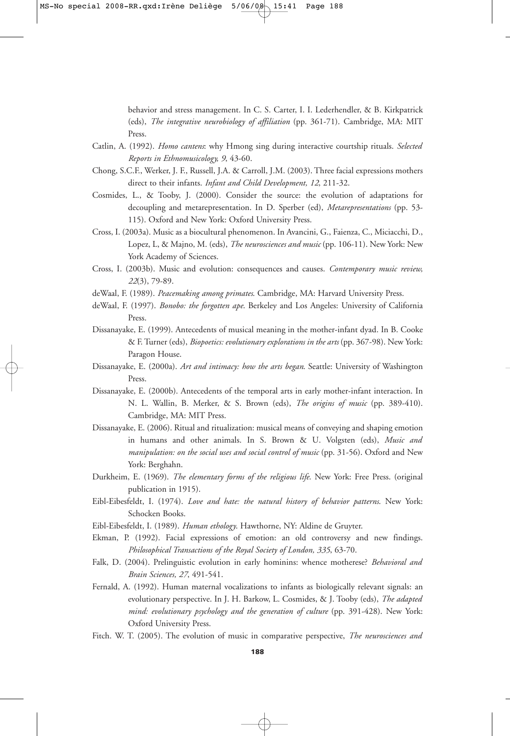behavior and stress management. In C. S. Carter, I. I. Lederhendler, & B. Kirkpatrick (eds), *The integrative neurobiology of affiliation* (pp. 361-71). Cambridge, MA: MIT Press.

- Catlin, A. (1992). *Homo cantens*: why Hmong sing during interactive courtship rituals. *Selected Reports in Ethnomusicology, 9*, 43-60.
- Chong, S.C.F., Werker, J. F., Russell, J.A. & Carroll, J.M. (2003). Three facial expressions mothers direct to their infants. *Infant and Child Development, 12*, 211-32.
- Cosmides, L., & Tooby, J. (2000). Consider the source: the evolution of adaptations for decoupling and metarepresentation. In D. Sperber (ed), *Metarepresentations* (pp. 53- 115). Oxford and New York: Oxford University Press.
- Cross, I. (2003a). Music as a biocultural phenomenon. In Avancini, G., Faienza, C., Miciacchi, D., Lopez, L, & Majno, M. (eds), *The neurosciences and music* (pp. 106-11). New York: New York Academy of Sciences.
- Cross, I. (2003b). Music and evolution: consequences and causes. *Contemporary music review, 22*(3), 79-89.
- deWaal, F. (1989). *Peacemaking among primates*. Cambridge, MA: Harvard University Press.
- deWaal, F. (1997). *Bonobo: the forgotten ape*. Berkeley and Los Angeles: University of California Press.
- Dissanayake, E. (1999). Antecedents of musical meaning in the mother-infant dyad. In B. Cooke & F. Turner (eds), *Biopoetics: evolutionary explorations in the arts* (pp. 367-98). New York: Paragon House.
- Dissanayake, E. (2000a). *Art and intimacy: how the arts began*. Seattle: University of Washington Press.
- Dissanayake, E. (2000b). Antecedents of the temporal arts in early mother-infant interaction. In N. L. Wallin, B. Merker, & S. Brown (eds), *The origins of music* (pp. 389-410). Cambridge, MA: MIT Press.
- Dissanayake, E. (2006). Ritual and ritualization: musical means of conveying and shaping emotion in humans and other animals. In S. Brown & U. Volgsten (eds), *Music and manipulation: on the social uses and social control of music* (pp. 31-56). Oxford and New York: Berghahn.
- Durkheim, E. (1969). *The elementary forms of the religious life*. New York: Free Press. (original publication in 1915).
- Eibl-Eibesfeldt, I. (1974). *Love and hate: the natural history of behavior patterns*. New York: Schocken Books.
- Eibl-Eibesfeldt, I. (1989). *Human ethology*. Hawthorne, NY: Aldine de Gruyter.
- Ekman, P. (1992). Facial expressions of emotion: an old controversy and new findings. *Philosophical Transactions of the Royal Society of London, 335*, 63-70.
- Falk, D. (2004). Prelinguistic evolution in early hominins: whence motherese? *Behavioral and Brain Sciences, 27*, 491-541.
- Fernald, A. (1992). Human maternal vocalizations to infants as biologically relevant signals: an evolutionary perspective. In J. H. Barkow, L. Cosmides, & J. Tooby (eds), *The adapted mind: evolutionary psychology and the generation of culture* (pp. 391-428). New York: Oxford University Press.
- Fitch. W. T. (2005). The evolution of music in comparative perspective, *The neurosciences and*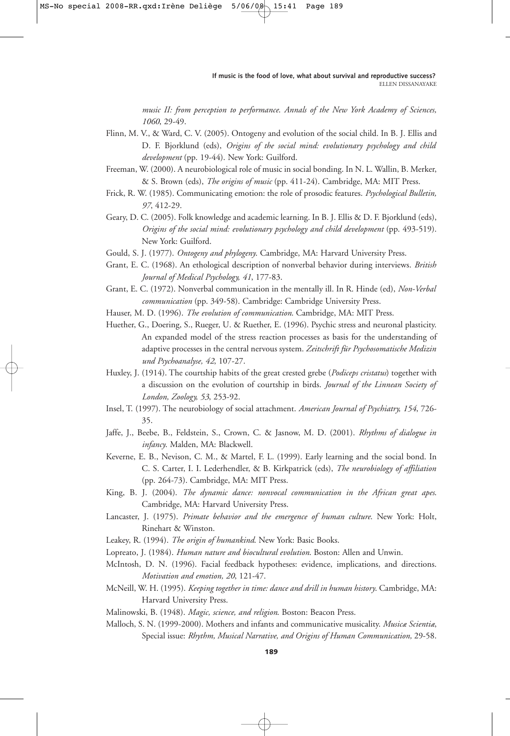*music II: from perception to performance*. *Annals of the New York Academy of Sciences, 1060*, 29-49.

- Flinn, M. V., & Ward, C. V. (2005). Ontogeny and evolution of the social child. In B. J. Ellis and D. F. Bjorklund (eds), *Origins of the social mind: evolutionary psychology and child development* (pp. 19-44). New York: Guilford.
- Freeman, W. (2000). A neurobiological role of music in social bonding. In N. L. Wallin, B. Merker, & S. Brown (eds), *The origins of music* (pp. 411-24). Cambridge, MA: MIT Press.
- Frick, R. W. (1985). Communicating emotion: the role of prosodic features. *Psychological Bulletin, 97*, 412-29.
- Geary, D. C. (2005). Folk knowledge and academic learning. In B. J. Ellis & D. F. Bjorklund (eds), *Origins of the social mind: evolutionary psychology and child development* (pp. 493-519). New York: Guilford.
- Gould, S. J. (1977). *Ontogeny and phylogeny*. Cambridge, MA: Harvard University Press.
- Grant, E. C. (1968). An ethological description of nonverbal behavior during interviews. *British Journal of Medical Psychology, 41*, 177-83.
- Grant, E. C. (1972). Nonverbal communication in the mentally ill. In R. Hinde (ed), *Non-Verbal communication* (pp. 349-58). Cambridge: Cambridge University Press.
- Hauser, M. D. (1996). *The evolution of communication*. Cambridge, MA: MIT Press.
- Huether, G., Doering, S., Rueger, U. & Ruether, E. (1996). Psychic stress and neuronal plasticity. An expanded model of the stress reaction processes as basis for the understanding of adaptive processes in the central nervous system. *Zeitschrift für Psychosomatische Medizin und Psychoanalyse, 42*, 107-27.
- Huxley, J. (1914). The courtship habits of the great crested grebe (*Podiceps cristatus*) together with a discussion on the evolution of courtship in birds. *Journal of the Linnean Society of London, Zoology, 53*, 253-92.
- Insel, T. (1997). The neurobiology of social attachment. *American Journal of Psychiatry, 154*, 726- 35.
- Jaffe, J., Beebe, B., Feldstein, S., Crown, C. & Jasnow, M. D. (2001). *Rhythms of dialogue in infancy*. Malden, MA: Blackwell.
- Keverne, E. B., Nevison, C. M., & Martel, F. L. (1999). Early learning and the social bond. In C. S. Carter, I. I. Lederhendler, & B. Kirkpatrick (eds), *The neurobiology of affiliation* (pp. 264-73). Cambridge, MA: MIT Press.
- King, B. J. (2004). *The dynamic dance: nonvocal communication in the African great apes*. Cambridge, MA: Harvard University Press.
- Lancaster, J. (1975). *Primate behavior and the emergence of human culture*. New York: Holt, Rinehart & Winston.
- Leakey, R. (1994). *The origin of humankind*. New York: Basic Books.
- Lopreato, J. (1984). *Human nature and biocultural evolution*. Boston: Allen and Unwin.
- McIntosh, D. N. (1996). Facial feedback hypotheses: evidence, implications, and directions. *Motivation and emotion, 20*, 121-47.
- McNeill, W. H. (1995). *Keeping together in time: dance and drill in human history*. Cambridge, MA: Harvard University Press.
- Malinowski, B. (1948). *Magic, science, and religion*. Boston: Beacon Press.
- Malloch, S. N. (1999-2000). Mothers and infants and communicative musicality. *Musicæ Scientiæ*, Special issue: *Rhythm, Musical Narrative, and Origins of Human Communication,* 29-58.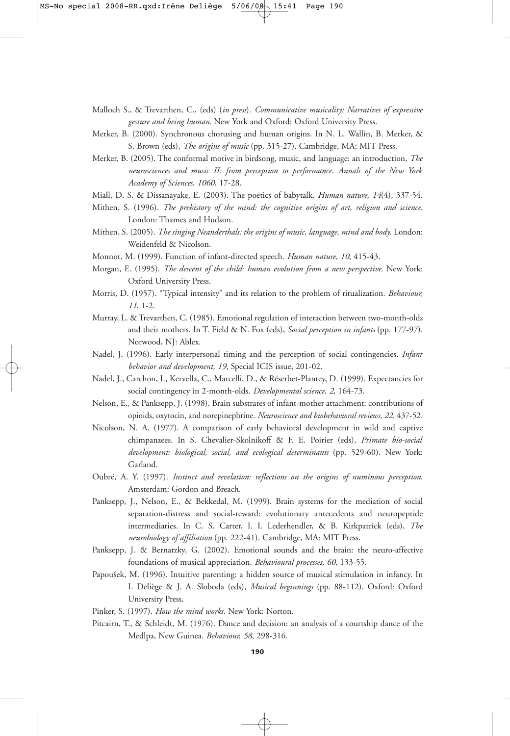MS-No special 2008-RR.qxd:Irène Deliège  $5/06/08$  15:41 Page 190

Malloch S., & Trevarthen, C., (eds) (*in press*). *Communicative musicality: Narratives of expressive gesture and being human*. New York and Oxford: Oxford University Press.

- Merker, B. (2000). Synchronous chorusing and human origins. In N. L. Wallin, B. Merker, & S. Brown (eds), *The origins of music* (pp. 315-27). Cambridge, MA; MIT Press.
- Merker, B. (2005). The conformal motive in birdsong, music, and language: an introduction, *The neurosciences and music II: from perception to performance*. *Annals of the New York Academy of Sciences, 1060*, 17-28.
- Miall, D. S. & Dissanayake, E. (2003). The poetics of babytalk. *Human nature*, *14*(4), 337-54.
- Mithen, S. (1996). *The prehistory of the mind: the cognitive origins of art, religion and science*. London: Thames and Hudson.
- Mithen, S. (2005). *The singing Neanderthals: the origins of music, language, mind and body*. London: Weidenfeld & Nicolson.
- Monnot, M. (1999). Function of infant-directed speech*. Human nature, 10*, 415-43.
- Morgan, E. (1995). *The descent of the child: human evolution from a new perspective*. New York: Oxford University Press.
- Morris, D. (1957). "Typical intensity" and its relation to the problem of ritualization. *Behaviour, 11*, 1-2.
- Murray, L. & Trevarthen, C. (1985). Emotional regulation of interaction between two-month-olds and their mothers. In T. Field & N. Fox (eds), *Social perception in infants* (pp. 177-97). Norwood, NJ: Ablex.
- Nadel, J. (1996). Early interpersonal timing and the perception of social contingencies. *Infant behavior and development, 19*, Special ICIS issue, 201-02.
- Nadel, J., Carchon, I., Kervella, C., Marcelli, D., & Réserbet-Plantey, D. (1999). Expectancies for social contingency in 2-month-olds. *Developmental science, 2*, 164-73.
- Nelson, E., & Panksepp, J. (1998). Brain substrates of infant-mother attachment: contributions of opioids, oxytocin, and norepinephrine. *Neuroscience and biobehavioral reviews, 22*, 437-52.
- Nicolson, N. A. (1977). A comparison of early behavioral development in wild and captive chimpanzees. In S. Chevalier-Skolnikoff & F. E. Poirier (eds), *Primate bio-social development: biological, social, and ecological determinants* (pp. 529-60). New York: Garland.
- Oubré, A. Y. (1997). *Instinct and revelation: reflections on the origins of numinous perception*. Amsterdam: Gordon and Breach.
- Panksepp, J., Nelson, E., & Bekkedal, M. (1999). Brain systems for the mediation of social separation-distress and social-reward: evolutionary antecedents and neuropeptide intermediaries. In C. S. Carter, I. I. Lederhendler, & B. Kirkpatrick (eds), *The neurobiology of affiliation* (pp. 222-41). Cambridge, MA: MIT Press.
- Panksepp, J. & Bernatzky, G. (2002). Emotional sounds and the brain: the neuro-affective foundations of musical appreciation. *Behavioural processes, 60*, 133-55.
- Papoušek, M. (1996). Intuitive parenting: a hidden source of musical stimulation in infancy. In I. Deliège & J. A. Sloboda (eds), *Musical beginnings* (pp. 88-112). Oxford: Oxford University Press.
- Pinker, S. (1997). *How the mind works*. New York: Norton.
- Pitcairn, T., & Schleidt, M. (1976). Dance and decision: an analysis of a courtship dance of the Medlpa, New Guinea. *Behaviour, 58*, 298-316.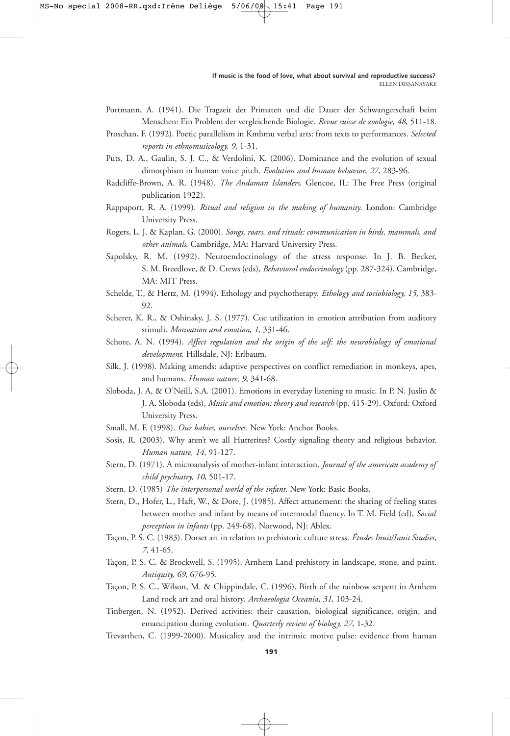- Portmann, A. (1941). Die Tragzeit der Primaten und die Dauer der Schwangerschaft beim Menschen: Ein Problem der vergleichende Biologie. *Revue suisse de zoologie, 48*, 511-18.
- Proschan, F. (1992). Poetic parallelism in Kmhmu verbal arts: from texts to performances. *Selected reports in ethnomusicology, 9*, 1-31.
- Puts, D. A., Gaulin, S. J. C., & Verdolini, K. (2006). Dominance and the evolution of sexual dimorphism in human voice pitch. *Evolution and human behavior*, *27*, 283-96.
- Radcliffe-Brown, A. R. (1948). *The Andaman Islanders*. Glencoe, IL: The Free Press (original publication 1922).
- Rappaport, R. A. (1999). *Ritual and religion in the making of humanity*. London: Cambridge University Press.
- Rogers, L. J. & Kaplan, G. (2000). *Songs, roars, and rituals: communication in birds, mammals, and other animals*. Cambridge, MA: Harvard University Press.
- Sapolsky, R. M. (1992). Neuroendocrinology of the stress response. In J. B. Becker, S. M. Breedlove, & D. Crews (eds), *Behavioral endocrinology* (pp. 287-324). Cambridge, MA: MIT Press.
- Schelde, T., & Hertz, M. (1994). Ethology and psychotherapy. *Ethology and sociobiology, 15*, 383- 92.
- Scherer, K. R., & Oshinsky, J. S. (1977). Cue utilization in emotion attribution from auditory stimuli. *Motivation and emotion, 1*, 331-46.
- Schore, A. N. (1994). *Affect regulation and the origin of the self: the neurobiology of emotional development*. Hillsdale, NJ: Erlbaum.
- Silk, J. (1998). Making amends: adaptive perspectives on conflict remediation in monkeys, apes, and humans. *Human nature, 9*, 341-68.
- Sloboda, J. A, & O'Neill, S.A. (2001). Emotions in everyday listening to music. In P. N. Juslin & J. A. Sloboda (eds), *Music and emotion: theory and research* (pp. 415-29). Oxford: Oxford University Press.
- Small, M. F. (1998). *Our babies, ourselves.* New York: Anchor Books.
- Sosis, R. (2003). Why aren't we all Hutterites? Costly signaling theory and religious behavior. *Human nature, 14*, 91-127.
- Stern, D. (1971). A microanalysis of mother-infant interaction. *Journal of the american academy of child psychiatry, 10*, 501-17.
- Stern, D. (1985) *The interpersonal world of the infant*. New York: Basic Books.
- Stern, D., Hofer, L., Haft, W., & Dore, J. (1985). Affect attunement: the sharing of feeling states between mother and infant by means of intermodal fluency. In T. M. Field (ed), *Social perception in infants* (pp. 249-68). Norwood, NJ: Ablex.
- Taçon, P. S. C. (1983). Dorset art in relation to prehistoric culture stress. *Études Inuit/Inuit Studies, 7*, 41-65.
- Taçon, P. S. C. & Brockwell, S. (1995). Arnhem Land prehistory in landscape, stone, and paint. *Antiquity, 69*, 676-95.
- Taçon, P. S. C., Wilson, M. & Chippindale, C. (1996). Birth of the rainbow serpent in Arnhem Land rock art and oral history. *Archaeologia Oceania, 31*, 103-24.
- Tinbergen, N. (1952). Derived activities: their causation, biological significance, origin, and emancipation during evolution. *Quarterly review of biology, 27*, 1-32.
- Trevarthen, C. (1999-2000). Musicality and the intrinsic motive pulse: evidence from human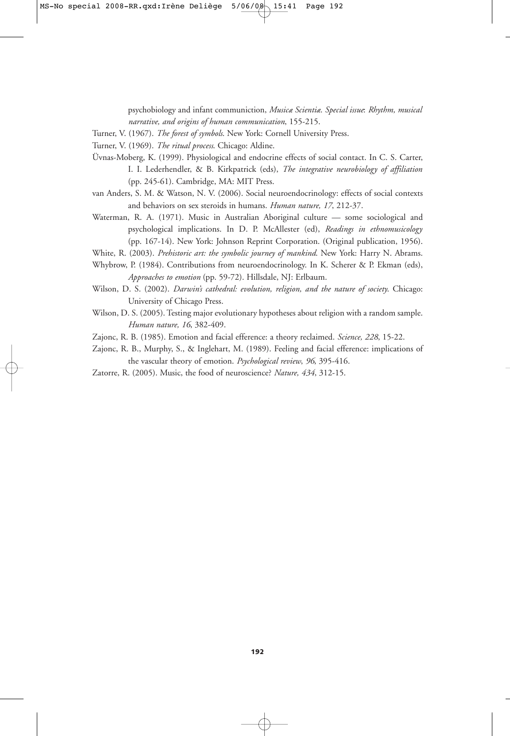psychobiology and infant communiction, *Musicæ Scientiæ*. *Special issue*: *Rhythm, musical narrative, and origins of human communication*, 155-215.

- Turner, V. (1967). *The forest of symbols*. New York: Cornell University Press.
- Turner, V. (1969). *The ritual process*. Chicago: Aldine.
- Üvnas-Moberg, K. (1999). Physiological and endocrine effects of social contact. In C. S. Carter, I. I. Lederhendler, & B. Kirkpatrick (eds), *The integrative neurobiology of affiliation* (pp. 245-61). Cambridge, MA: MIT Press.
- van Anders, S. M. & Watson, N. V. (2006). Social neuroendocrinology: effects of social contexts and behaviors on sex steroids in humans. *Human nature, 17*, 212-37.
- Waterman, R. A. (1971). Music in Australian Aboriginal culture some sociological and psychological implications. In D. P. McAllester (ed), *Readings in ethnomusicology* (pp. 167-14). New York: Johnson Reprint Corporation. (Original publication, 1956).
- White, R. (2003). *Prehistoric art: the symbolic journey of mankind*. New York: Harry N. Abrams.
- Whybrow, P. (1984). Contributions from neuroendocrinology. In K. Scherer & P. Ekman (eds), *Approaches to emotion* (pp. 59-72). Hillsdale, NJ: Erlbaum.
- Wilson, D. S. (2002). *Darwin's cathedral: evolution, religion, and the nature of society*. Chicago: University of Chicago Press.
- Wilson, D. S. (2005). Testing major evolutionary hypotheses about religion with a random sample. *Human nature, 16*, 382-409.
- Zajonc, R. B. (1985). Emotion and facial efference: a theory reclaimed. *Science, 228*, 15-22.
- Zajonc, R. B., Murphy, S., & Inglehart, M. (1989). Feeling and facial efference: implications of the vascular theory of emotion. *Psychological review*, *96*, 395-416.
- Zatorre, R. (2005). Music, the food of neuroscience? *Nature, 434*, 312-15.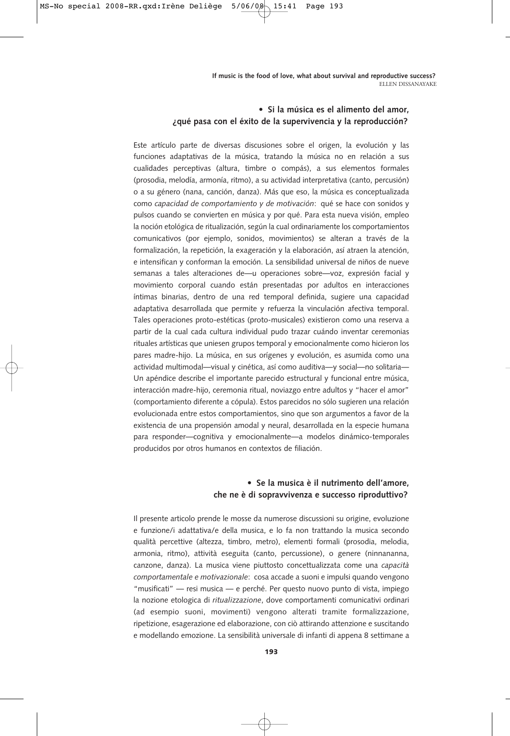# **• Si la música es el alimento del amor, ¿qué pasa con el éxito de la supervivencia y la reproducción?**

Este artículo parte de diversas discusiones sobre el origen, la evolución y las funciones adaptativas de la música, tratando la música no en relación a sus cualidades perceptivas (altura, timbre o compás), a sus elementos formales (prosodia, melodía, armonía, ritmo), a su actividad interpretativa (canto, percusión) o a su género (nana, canción, danza). Más que eso, la música es conceptualizada como *capacidad de comportamiento y de motivación*: qué se hace con sonidos y pulsos cuando se convierten en música y por qué. Para esta nueva visión, empleo la noción etológica de ritualización, según la cual ordinariamente los comportamientos comunicativos (por ejemplo, sonidos, movimientos) se alteran a través de la formalización, la repetición, la exageración y la elaboración, así atraen la atención, e intensifican y conforman la emoción. La sensibilidad universal de niños de nueve semanas a tales alteraciones de—u operaciones sobre—voz, expresión facial y movimiento corporal cuando están presentadas por adultos en interacciones íntimas binarias, dentro de una red temporal definida, sugiere una capacidad adaptativa desarrollada que permite y refuerza la vinculación afectiva temporal. Tales operaciones proto-estéticas (proto-musicales) existieron como una reserva a partir de la cual cada cultura individual pudo trazar cuándo inventar ceremonias rituales artísticas que uniesen grupos temporal y emocionalmente como hicieron los pares madre-hijo. La música, en sus orígenes y evolución, es asumida como una actividad multimodal—visual y cinética, así como auditiva—y social—no solitaria— Un apéndice describe el importante parecido estructural y funcional entre música, interacción madre-hijo, ceremonia ritual, noviazgo entre adultos y "hacer el amor" (comportamiento diferente a cópula). Estos parecidos no sólo sugieren una relación evolucionada entre estos comportamientos, sino que son argumentos a favor de la existencia de una propensión amodal y neural, desarrollada en la especie humana para responder—cognitiva y emocionalmente—a modelos dinámico-temporales producidos por otros humanos en contextos de filiación.

# **• Se la musica è il nutrimento dell'amore, che ne è di sopravvivenza e successo riproduttivo?**

Il presente articolo prende le mosse da numerose discussioni su origine, evoluzione e funzione/i adattativa/e della musica, e lo fa non trattando la musica secondo qualità percettive (altezza, timbro, metro), elementi formali (prosodia, melodia, armonia, ritmo), attività eseguita (canto, percussione), o genere (ninnananna, canzone, danza). La musica viene piuttosto concettualizzata come una *capacità comportamentale e motivazionale*: cosa accade a suoni e impulsi quando vengono "musificati" — resi musica — e perché. Per questo nuovo punto di vista, impiego la nozione etologica di *ritualizzazione*, dove comportamenti comunicativi ordinari (ad esempio suoni, movimenti) vengono alterati tramite formalizzazione, ripetizione, esagerazione ed elaborazione, con ciò attirando attenzione e suscitando e modellando emozione. La sensibilità universale di infanti di appena 8 settimane a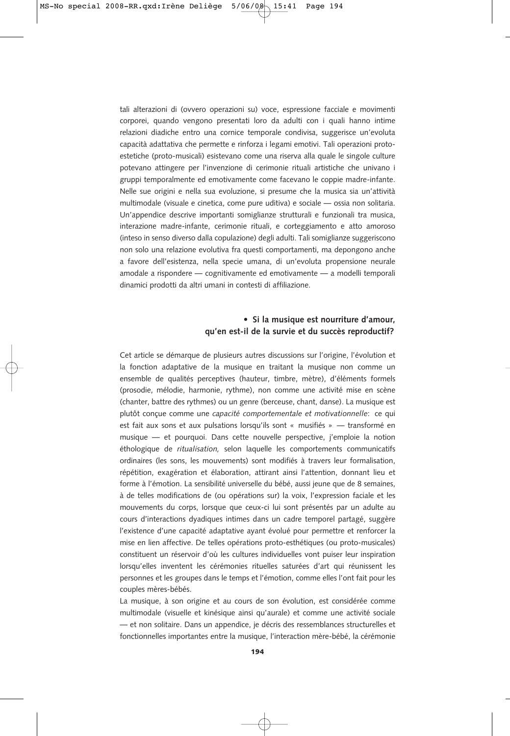tali alterazioni di (ovvero operazioni su) voce, espressione facciale e movimenti corporei, quando vengono presentati loro da adulti con i quali hanno intime relazioni diadiche entro una cornice temporale condivisa, suggerisce un'evoluta capacità adattativa che permette e rinforza i legami emotivi. Tali operazioni protoestetiche (proto-musicali) esistevano come una riserva alla quale le singole culture potevano attingere per l'invenzione di cerimonie rituali artistiche che univano i gruppi temporalmente ed emotivamente come facevano le coppie madre-infante. Nelle sue origini e nella sua evoluzione, si presume che la musica sia un'attività multimodale (visuale e cinetica, come pure uditiva) e sociale — ossia non solitaria. Un'appendice descrive importanti somiglianze strutturali e funzionali tra musica, interazione madre-infante, cerimonie rituali, e corteggiamento e atto amoroso (inteso in senso diverso dalla copulazione) degli adulti. Tali somiglianze suggeriscono non solo una relazione evolutiva fra questi comportamenti, ma depongono anche a favore dell'esistenza, nella specie umana, di un'evoluta propensione neurale amodale a rispondere — cognitivamente ed emotivamente — a modelli temporali dinamici prodotti da altri umani in contesti di affiliazione.

# **• Si la musique est nourriture d'amour, qu'en est-il de la survie et du succès reproductif?**

Cet article se démarque de plusieurs autres discussions sur l'origine, l'évolution et la fonction adaptative de la musique en traitant la musique non comme un ensemble de qualités perceptives (hauteur, timbre, mètre), d'éléments formels (prosodie, mélodie, harmonie, rythme), non comme une activité mise en scène (chanter, battre des rythmes) ou un genre (berceuse, chant, danse). La musique est plutôt conçue comme une *capacité comportementale et motivationnelle*: ce qui est fait aux sons et aux pulsations lorsqu'ils sont « musifiés » — transformé en musique — et pourquoi. Dans cette nouvelle perspective, j'emploie la notion éthologique de *ritualisation,* selon laquelle les comportements communicatifs ordinaires (les sons, les mouvements) sont modifiés à travers leur formalisation, répétition, exagération et élaboration, attirant ainsi l'attention, donnant lieu et forme à l'émotion. La sensibilité universelle du bébé, aussi jeune que de 8 semaines, à de telles modifications de (ou opérations sur) la voix, l'expression faciale et les mouvements du corps, lorsque que ceux-ci lui sont présentés par un adulte au cours d'interactions dyadiques intimes dans un cadre temporel partagé, suggère l'existence d'une capacité adaptative ayant évolué pour permettre et renforcer la mise en lien affective. De telles opérations proto-esthétiques (ou proto-musicales) constituent un réservoir d'où les cultures individuelles vont puiser leur inspiration lorsqu'elles inventent les cérémonies rituelles saturées d'art qui réunissent les personnes et les groupes dans le temps et l'émotion, comme elles l'ont fait pour les couples mères-bébés.

La musique, à son origine et au cours de son évolution, est considérée comme multimodale (visuelle et kinésique ainsi qu'aurale) et comme une activité sociale — et non solitaire. Dans un appendice, je décris des ressemblances structurelles et fonctionnelles importantes entre la musique, l'interaction mère-bébé, la cérémonie